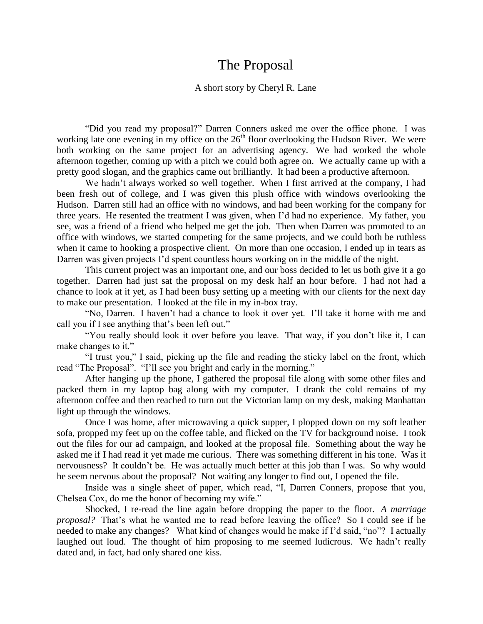## The Proposal

## A short story by Cheryl R. Lane

"Did you read my proposal?" Darren Conners asked me over the office phone. I was working late one evening in my office on the  $26<sup>th</sup>$  floor overlooking the Hudson River. We were both working on the same project for an advertising agency. We had worked the whole afternoon together, coming up with a pitch we could both agree on. We actually came up with a pretty good slogan, and the graphics came out brilliantly. It had been a productive afternoon.

We hadn't always worked so well together. When I first arrived at the company, I had been fresh out of college, and I was given this plush office with windows overlooking the Hudson. Darren still had an office with no windows, and had been working for the company for three years. He resented the treatment I was given, when I'd had no experience. My father, you see, was a friend of a friend who helped me get the job. Then when Darren was promoted to an office with windows, we started competing for the same projects, and we could both be ruthless when it came to hooking a prospective client. On more than one occasion, I ended up in tears as Darren was given projects I'd spent countless hours working on in the middle of the night.

This current project was an important one, and our boss decided to let us both give it a go together. Darren had just sat the proposal on my desk half an hour before. I had not had a chance to look at it yet, as I had been busy setting up a meeting with our clients for the next day to make our presentation. I looked at the file in my in-box tray.

"No, Darren. I haven't had a chance to look it over yet. I'll take it home with me and call you if I see anything that's been left out."

"You really should look it over before you leave. That way, if you don't like it, I can make changes to it."

"I trust you," I said, picking up the file and reading the sticky label on the front, which read "The Proposal". "I'll see you bright and early in the morning."

After hanging up the phone, I gathered the proposal file along with some other files and packed them in my laptop bag along with my computer. I drank the cold remains of my afternoon coffee and then reached to turn out the Victorian lamp on my desk, making Manhattan light up through the windows.

Once I was home, after microwaving a quick supper, I plopped down on my soft leather sofa, propped my feet up on the coffee table, and flicked on the TV for background noise. I took out the files for our ad campaign, and looked at the proposal file. Something about the way he asked me if I had read it yet made me curious. There was something different in his tone. Was it nervousness? It couldn't be. He was actually much better at this job than I was. So why would he seem nervous about the proposal? Not waiting any longer to find out, I opened the file.

Inside was a single sheet of paper, which read, "I, Darren Conners, propose that you, Chelsea Cox, do me the honor of becoming my wife."

Shocked, I re-read the line again before dropping the paper to the floor. *A marriage proposal?* That's what he wanted me to read before leaving the office? So I could see if he needed to make any changes? What kind of changes would he make if I'd said, "no"? I actually laughed out loud. The thought of him proposing to me seemed ludicrous. We hadn't really dated and, in fact, had only shared one kiss.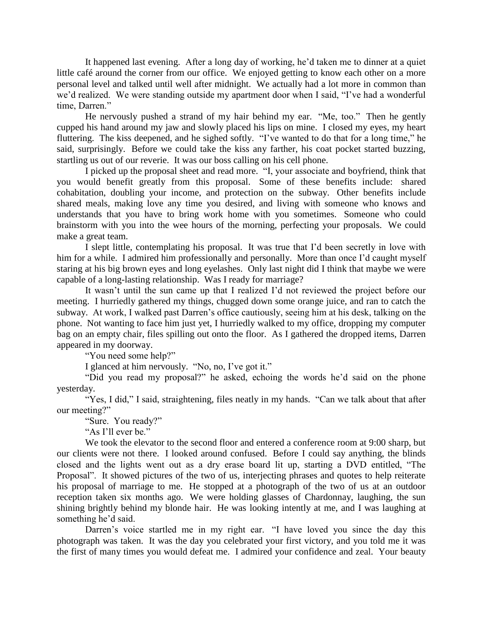It happened last evening. After a long day of working, he'd taken me to dinner at a quiet little café around the corner from our office. We enjoyed getting to know each other on a more personal level and talked until well after midnight. We actually had a lot more in common than we'd realized. We were standing outside my apartment door when I said, "I've had a wonderful time, Darren."

He nervously pushed a strand of my hair behind my ear. "Me, too." Then he gently cupped his hand around my jaw and slowly placed his lips on mine. I closed my eyes, my heart fluttering. The kiss deepened, and he sighed softly. "I've wanted to do that for a long time," he said, surprisingly. Before we could take the kiss any farther, his coat pocket started buzzing, startling us out of our reverie. It was our boss calling on his cell phone.

I picked up the proposal sheet and read more. "I, your associate and boyfriend, think that you would benefit greatly from this proposal. Some of these benefits include: shared cohabitation, doubling your income, and protection on the subway. Other benefits include shared meals, making love any time you desired, and living with someone who knows and understands that you have to bring work home with you sometimes. Someone who could brainstorm with you into the wee hours of the morning, perfecting your proposals. We could make a great team.

I slept little, contemplating his proposal. It was true that I'd been secretly in love with him for a while. I admired him professionally and personally. More than once I'd caught myself staring at his big brown eyes and long eyelashes. Only last night did I think that maybe we were capable of a long-lasting relationship. Was I ready for marriage?

It wasn't until the sun came up that I realized I'd not reviewed the project before our meeting. I hurriedly gathered my things, chugged down some orange juice, and ran to catch the subway. At work, I walked past Darren's office cautiously, seeing him at his desk, talking on the phone. Not wanting to face him just yet, I hurriedly walked to my office, dropping my computer bag on an empty chair, files spilling out onto the floor. As I gathered the dropped items, Darren appeared in my doorway.

"You need some help?"

I glanced at him nervously. "No, no, I've got it."

"Did you read my proposal?" he asked, echoing the words he'd said on the phone yesterday.

"Yes, I did," I said, straightening, files neatly in my hands. "Can we talk about that after our meeting?"

"Sure. You ready?"

"As I'll ever be."

We took the elevator to the second floor and entered a conference room at 9:00 sharp, but our clients were not there. I looked around confused. Before I could say anything, the blinds closed and the lights went out as a dry erase board lit up, starting a DVD entitled, "The Proposal". It showed pictures of the two of us, interjecting phrases and quotes to help reiterate his proposal of marriage to me. He stopped at a photograph of the two of us at an outdoor reception taken six months ago. We were holding glasses of Chardonnay, laughing, the sun shining brightly behind my blonde hair. He was looking intently at me, and I was laughing at something he'd said.

Darren's voice startled me in my right ear. "I have loved you since the day this photograph was taken. It was the day you celebrated your first victory, and you told me it was the first of many times you would defeat me. I admired your confidence and zeal. Your beauty